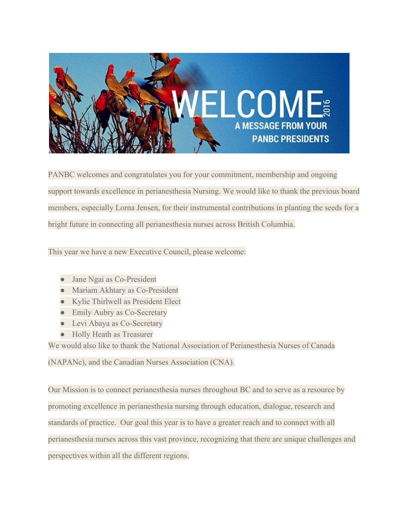

PANBC welcomes and congratulates you for your commitment, membership and ongoing support towards excellence in perianesthesia Nursing. We would like to thank the previous board members, especially Lorna Jensen, for their instrumental contributions in planting the seeds for a bright future in connecting all perianesthesia nurses across British Columbia.

This year we have a new Executive Council, please welcome:

- Jane Ngai as Co-President
- Mariam Akhtary as Co-President
- Kylie Thirlwell as President Elect
- Emily Aubry as Co-Secretary
- Levi Abaya as Co-Secretary
- Holly Heath as Treasurer

We would also like to thank the National Association of Perianesthesia Nurses of Canada

(NAPANc), and the Canadian Nurses Association (CNA).

Our Mission is to connect perianesthesia nurses throughout BC and to serve as a resource by promoting excellence in perianesthesia nursing through education, dialogue, research and standards of practice. Our goal this year is to have a greater reach and to connect with all perianesthesia nurses across this vast province, recognizing that there are unique challenges and perspectives within all the different regions.